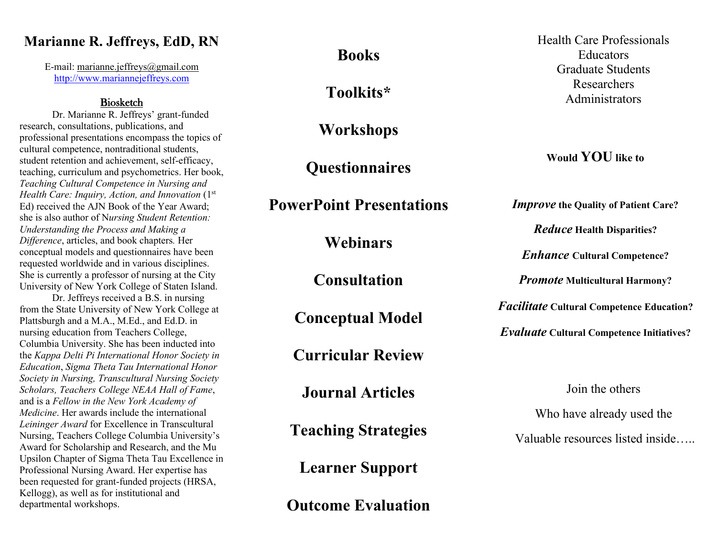# **Marianne R. Jeffreys, EdD, RN**

E-mail: [marianne.jeffreys@gmail.com](mailto:marianne.jeffreys@gmail.com) [http://www.mariannejeffreys.com](http://www.mariannejeffreys.com/)

# Biosketch

Dr. Marianne R. Jeffreys' grant-funded research, consultations, publications, and professional presentations encompass the topics of cultural competence, nontraditional students, student retention and achievement, self-efficacy, teaching, curriculum and psychometrics. Her book, *Teaching Cultural Competence in Nursing and Health Care: Inquiry, Action, and Innovation* (1st) Ed) received the AJN Book of the Year Award; she is also author of N*ursing Student Retention: Understanding the Process and Making a Difference*, articles, and book chapters*.* Her conceptual models and questionnaires have been requested worldwide and in various disciplines. She is currently a professor of nursing at the City University of New York College of Staten Island.

Dr. Jeffreys received a B.S. in nursing from the State University of New York College at Plattsburgh and a M.A., M.Ed., and Ed.D. in nursing education from Teachers College, Columbia University. She has been inducted into the *Kappa Delti Pi International Honor Society in Education*, *Sigma Theta Tau International Honor Society in Nursing, Transcultural Nursing Society Scholars, Teachers College NEAA Hall of Fame*, and is a *Fellow in the New York Academy of Medicine*. Her awards include the international *Leininger Award* for Excellence in Transcultural Nursing, Teachers College Columbia University's Award for Scholarship and Research, and the Mu Upsilon Chapter of Sigma Theta Tau Excellence in Professional Nursing Award. Her expertise has been requested for grant-funded projects (HRSA, Kellogg), as well as for institutional and departmental workshops.

**Books**

**Toolkits\***

**Workshops**

**Questionnaires**

**PowerPoint Presentations**

**Webinars**

**Consultation**

**Conceptual Model** 

**Curricular Review**

**Journal Articles**

**Teaching Strategies**

**Learner Support**

**Outcome Evaluation**

Health Care Professionals **Educators** Graduate Students Researchers Administrators

**Would YOU like to** 

*Improve* **the Quality of Patient Care?**

*Reduce* **Health Disparities?**

*Enhance* **Cultural Competence?**

*Promote* **Multicultural Harmony?**

*Facilitate* **Cultural Competence Education?**

*Evaluate* **Cultural Competence Initiatives?**

Join the others

Who have already used the

Valuable resources listed inside…..